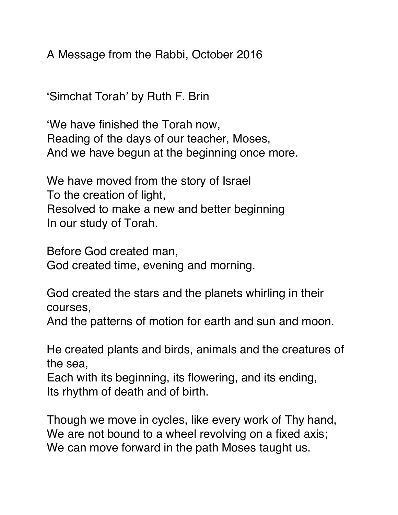A Message from the Rabbi, October 2016

'Simchat Torah' by Ruth F. Brin

'We have finished the Torah now, Reading of the days of our teacher, Moses, And we have begun at the beginning once more.

We have moved from the story of Israel To the creation of light, Resolved to make a new and better beginning In our study of Torah.

Before God created man, God created time, evening and morning.

God created the stars and the planets whirling in their courses,

And the patterns of motion for earth and sun and moon.

He created plants and birds, animals and the creatures of the sea,

Each with its beginning, its flowering, and its ending, Its rhythm of death and of birth.

Though we move in cycles, like every work of Thy hand, We are not bound to a wheel revolving on a fixed axis; We can move forward in the path Moses taught us.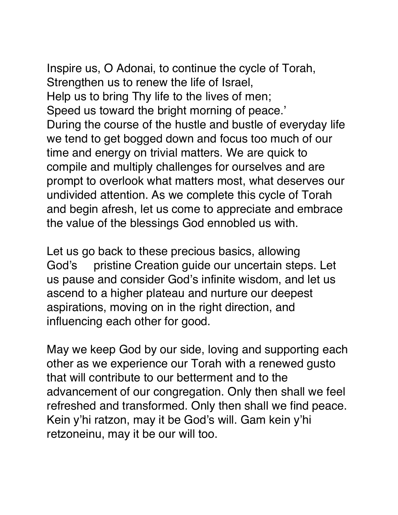Inspire us, O Adonai, to continue the cycle of Torah, Strengthen us to renew the life of Israel, Help us to bring Thy life to the lives of men; Speed us toward the bright morning of peace.' During the course of the hustle and bustle of everyday life we tend to get bogged down and focus too much of our time and energy on trivial matters. We are quick to compile and multiply challenges for ourselves and are prompt to overlook what matters most, what deserves our undivided attention. As we complete this cycle of Torah

and begin afresh, let us come to appreciate and embrace the value of the blessings God ennobled us with.

Let us go back to these precious basics, allowing God's pristine Creation guide our uncertain steps. Let us pause and consider God's infinite wisdom, and let us ascend to a higher plateau and nurture our deepest aspirations, moving on in the right direction, and influencing each other for good.

May we keep God by our side, loving and supporting each other as we experience our Torah with a renewed gusto that will contribute to our betterment and to the advancement of our congregation. Only then shall we feel refreshed and transformed. Only then shall we find peace. Kein y'hi ratzon, may it be God's will. Gam kein y'hi retzoneinu, may it be our will too.